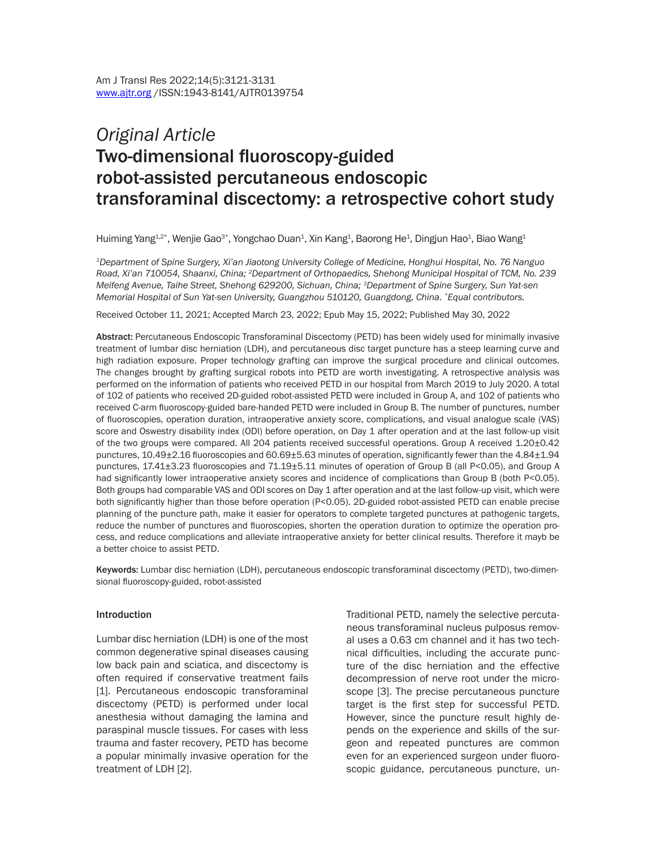# *Original Article* Two-dimensional fluoroscopy-guided robot-assisted percutaneous endoscopic transforaminal discectomy: a retrospective cohort study

Huiming Yang $^{1,2*}$ , Wenjie Gao $^{3*}$ , Yongchao Duan $^1$ , Xin Kang $^4$ , Baorong He $^4$ , Dingjun Hao $^4$ , Biao Wang $^4$ 

*1Department of Spine Surgery, Xi'an Jiaotong University College of Medicine, Honghui Hospital, No. 76 Nanguo Road, Xi'an 710054, Shaanxi, China; 2Department of Orthopaedics, Shehong Municipal Hospital of TCM, No. 239 Meifeng Avenue, Taihe Street, Shehong 629200, Sichuan, China; 3Department of Spine Surgery, Sun Yat-sen Memorial Hospital of Sun Yat-sen University, Guangzhou 510120, Guangdong, China. \*Equal contributors.*

Received October 11, 2021; Accepted March 23, 2022; Epub May 15, 2022; Published May 30, 2022

Abstract: Percutaneous Endoscopic Transforaminal Discectomy (PETD) has been widely used for minimally invasive treatment of lumbar disc herniation (LDH), and percutaneous disc target puncture has a steep learning curve and high radiation exposure. Proper technology grafting can improve the surgical procedure and clinical outcomes. The changes brought by grafting surgical robots into PETD are worth investigating. A retrospective analysis was performed on the information of patients who received PETD in our hospital from March 2019 to July 2020. A total of 102 of patients who received 2D-guided robot-assisted PETD were included in Group A, and 102 of patients who received C-arm fluoroscopy-guided bare-handed PETD were included in Group B. The number of punctures, number of fluoroscopies, operation duration, intraoperative anxiety score, complications, and visual analogue scale (VAS) score and Oswestry disability index (ODI) before operation, on Day 1 after operation and at the last follow-up visit of the two groups were compared. All 204 patients received successful operations. Group A received 1.20±0.42 punctures, 10.49±2.16 fluoroscopies and 60.69±5.63 minutes of operation, significantly fewer than the 4.84±1.94 punctures, 17.41±3.23 fluoroscopies and 71.19±5.11 minutes of operation of Group B (all P<0.05), and Group A had significantly lower intraoperative anxiety scores and incidence of complications than Group B (both P<0.05). Both groups had comparable VAS and ODI scores on Day 1 after operation and at the last follow-up visit, which were both significantly higher than those before operation (P<0.05). 2D-guided robot-assisted PETD can enable precise planning of the puncture path, make it easier for operators to complete targeted punctures at pathogenic targets, reduce the number of punctures and fluoroscopies, shorten the operation duration to optimize the operation process, and reduce complications and alleviate intraoperative anxiety for better clinical results. Therefore it mayb be a better choice to assist PETD.

Keywords: Lumbar disc herniation (LDH), percutaneous endoscopic transforaminal discectomy (PETD), two-dimensional fluoroscopy-guided, robot-assisted

#### Introduction

Lumbar disc herniation (LDH) is one of the most common degenerative spinal diseases causing low back pain and sciatica, and discectomy is often required if conservative treatment fails [1]. Percutaneous endoscopic transforaminal discectomy (PETD) is performed under local anesthesia without damaging the lamina and paraspinal muscle tissues. For cases with less trauma and faster recovery, PETD has become a popular minimally invasive operation for the treatment of LDH [2].

Traditional PETD, namely the selective percutaneous transforaminal nucleus pulposus removal uses a 0.63 cm channel and it has two technical difficulties, including the accurate puncture of the disc herniation and the effective decompression of nerve root under the microscope [3]. The precise percutaneous puncture target is the first step for successful PETD. However, since the puncture result highly depends on the experience and skills of the surgeon and repeated punctures are common even for an experienced surgeon under fluoroscopic guidance, percutaneous puncture, un-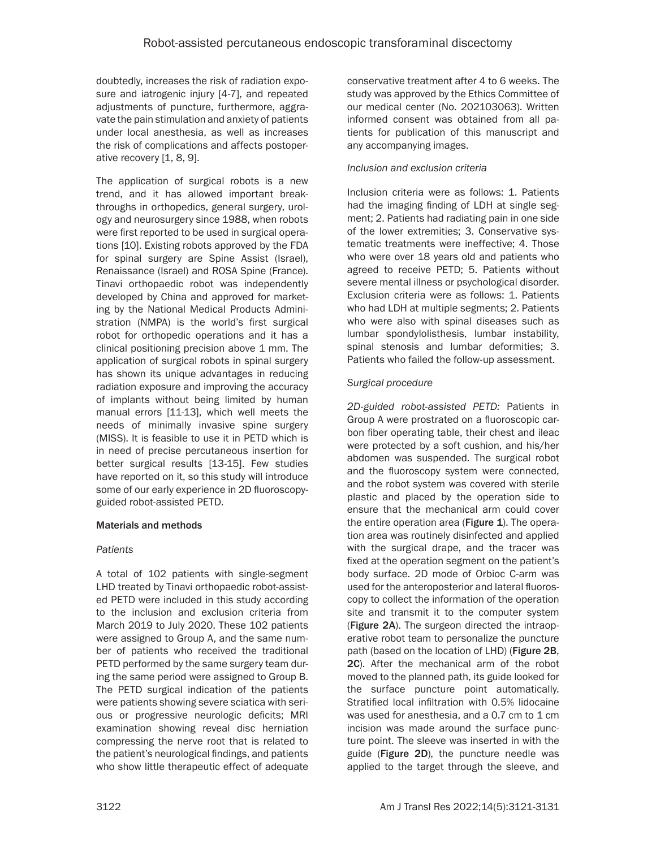doubtedly, increases the risk of radiation exposure and iatrogenic injury [4-7], and repeated adjustments of puncture, furthermore, aggravate the pain stimulation and anxiety of patients under local anesthesia, as well as increases the risk of complications and affects postoperative recovery [1, 8, 9].

The application of surgical robots is a new trend, and it has allowed important breakthroughs in orthopedics, general surgery, urology and neurosurgery since 1988, when robots were first reported to be used in surgical operations [10]. Existing robots approved by the FDA for spinal surgery are Spine Assist (Israel), Renaissance (Israel) and ROSA Spine (France). Tinavi orthopaedic robot was independently developed by China and approved for marketing by the National Medical Products Administration (NMPA) is the world's first surgical robot for orthopedic operations and it has a clinical positioning precision above 1 mm. The application of surgical robots in spinal surgery has shown its unique advantages in reducing radiation exposure and improving the accuracy of implants without being limited by human manual errors [11-13], which well meets the needs of minimally invasive spine surgery (MISS). It is feasible to use it in PETD which is in need of precise percutaneous insertion for better surgical results [13-15]. Few studies have reported on it, so this study will introduce some of our early experience in 2D fluoroscopyguided robot-assisted PETD.

# Materials and methods

# *Patients*

A total of 102 patients with single-segment LHD treated by Tinavi orthopaedic robot-assisted PETD were included in this study according to the inclusion and exclusion criteria from March 2019 to July 2020. These 102 patients were assigned to Group A, and the same number of patients who received the traditional PETD performed by the same surgery team during the same period were assigned to Group B. The PETD surgical indication of the patients were patients showing severe sciatica with serious or progressive neurologic deficits; MRI examination showing reveal disc herniation compressing the nerve root that is related to the patient's neurological findings, and patients who show little therapeutic effect of adequate conservative treatment after 4 to 6 weeks. The study was approved by the Ethics Committee of our medical center (No. 202103063). Written informed consent was obtained from all patients for publication of this manuscript and any accompanying images.

## *Inclusion and exclusion criteria*

Inclusion criteria were as follows: 1. Patients had the imaging finding of LDH at single segment; 2. Patients had radiating pain in one side of the lower extremities; 3. Conservative systematic treatments were ineffective; 4. Those who were over 18 years old and patients who agreed to receive PETD; 5. Patients without severe mental illness or psychological disorder. Exclusion criteria were as follows: 1. Patients who had LDH at multiple segments; 2. Patients who were also with spinal diseases such as lumbar spondylolisthesis, lumbar instability, spinal stenosis and lumbar deformities; 3. Patients who failed the follow-up assessment.

## *Surgical procedure*

*2D-guided robot-assisted PETD:* Patients in Group A were prostrated on a fluoroscopic carbon fiber operating table, their chest and ileac were protected by a soft cushion, and his/her abdomen was suspended. The surgical robot and the fluoroscopy system were connected, and the robot system was covered with sterile plastic and placed by the operation side to ensure that the mechanical arm could cover the entire operation area (Figure  $\mathbf{1}$ ). The operation area was routinely disinfected and applied with the surgical drape, and the tracer was fixed at the operation segment on the patient's body surface. 2D mode of Orbioc C-arm was used for the anteroposterior and lateral fluoroscopy to collect the information of the operation site and transmit it to the computer system (Figure 2A). The surgeon directed the intraoperative robot team to personalize the puncture path (based on the location of LHD) (Figure 2B, 2C). After the mechanical arm of the robot moved to the planned path, its guide looked for the surface puncture point automatically. Stratified local infiltration with 0.5% lidocaine was used for anesthesia, and a 0.7 cm to 1 cm incision was made around the surface puncture point. The sleeve was inserted in with the guide (Figure 2D), the puncture needle was applied to the target through the sleeve, and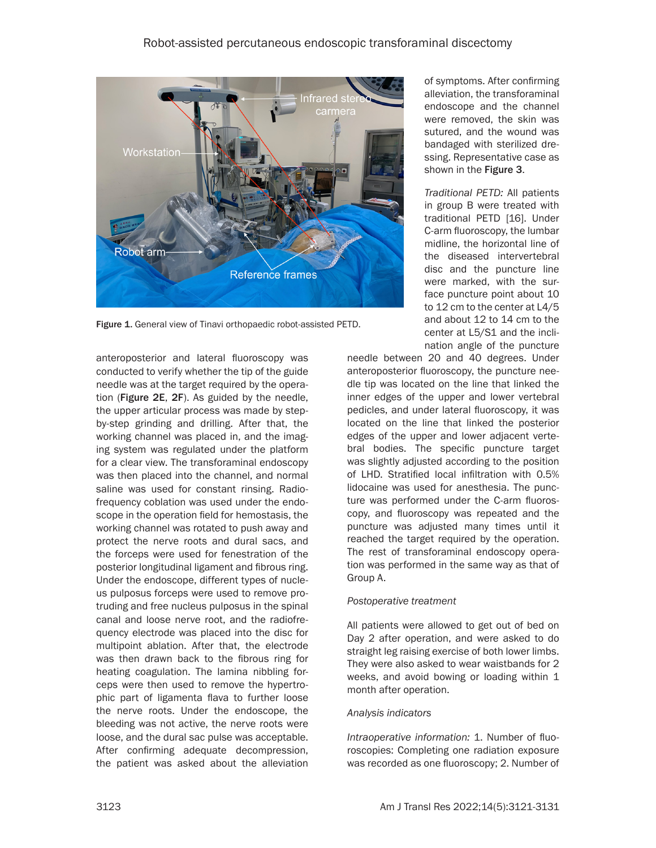

Figure 1. General view of Tinavi orthopaedic robot-assisted PETD.

anteroposterior and lateral fluoroscopy was conducted to verify whether the tip of the guide needle was at the target required by the operation (Figure 2E, 2F). As guided by the needle, the upper articular process was made by stepby-step grinding and drilling. After that, the working channel was placed in, and the imaging system was regulated under the platform for a clear view. The transforaminal endoscopy was then placed into the channel, and normal saline was used for constant rinsing. Radiofrequency coblation was used under the endoscope in the operation field for hemostasis, the working channel was rotated to push away and protect the nerve roots and dural sacs, and the forceps were used for fenestration of the posterior longitudinal ligament and fibrous ring. Under the endoscope, different types of nucleus pulposus forceps were used to remove protruding and free nucleus pulposus in the spinal canal and loose nerve root, and the radiofrequency electrode was placed into the disc for multipoint ablation. After that, the electrode was then drawn back to the fibrous ring for heating coagulation. The lamina nibbling forceps were then used to remove the hypertrophic part of ligamenta flava to further loose the nerve roots. Under the endoscope, the bleeding was not active, the nerve roots were loose, and the dural sac pulse was acceptable. After confirming adequate decompression, the patient was asked about the alleviation

of symptoms. After confirming alleviation, the transforaminal endoscope and the channel were removed, the skin was sutured, and the wound was bandaged with sterilized dressing. Representative case as shown in the Figure 3.

*Traditional PETD:* All patients in group B were treated with traditional PETD [16]. Under C-arm fluoroscopy, the lumbar midline, the horizontal line of the diseased intervertebral disc and the puncture line were marked, with the surface puncture point about 10 to 12 cm to the center at L4/5 and about 12 to 14 cm to the center at L5/S1 and the inclination angle of the puncture

needle between 20 and 40 degrees. Under anteroposterior fluoroscopy, the puncture needle tip was located on the line that linked the inner edges of the upper and lower vertebral pedicles, and under lateral fluoroscopy, it was located on the line that linked the posterior edges of the upper and lower adjacent vertebral bodies. The specific puncture target was slightly adjusted according to the position of LHD. Stratified local infiltration with 0.5% lidocaine was used for anesthesia. The puncture was performed under the C-arm fluoroscopy, and fluoroscopy was repeated and the puncture was adjusted many times until it reached the target required by the operation. The rest of transforaminal endoscopy operation was performed in the same way as that of Group A.

## *Postoperative treatment*

All patients were allowed to get out of bed on Day 2 after operation, and were asked to do straight leg raising exercise of both lower limbs. They were also asked to wear waistbands for 2 weeks, and avoid bowing or loading within 1 month after operation.

# *Analysis indicators*

*Intraoperative information:* 1. Number of fluoroscopies: Completing one radiation exposure was recorded as one fluoroscopy; 2. Number of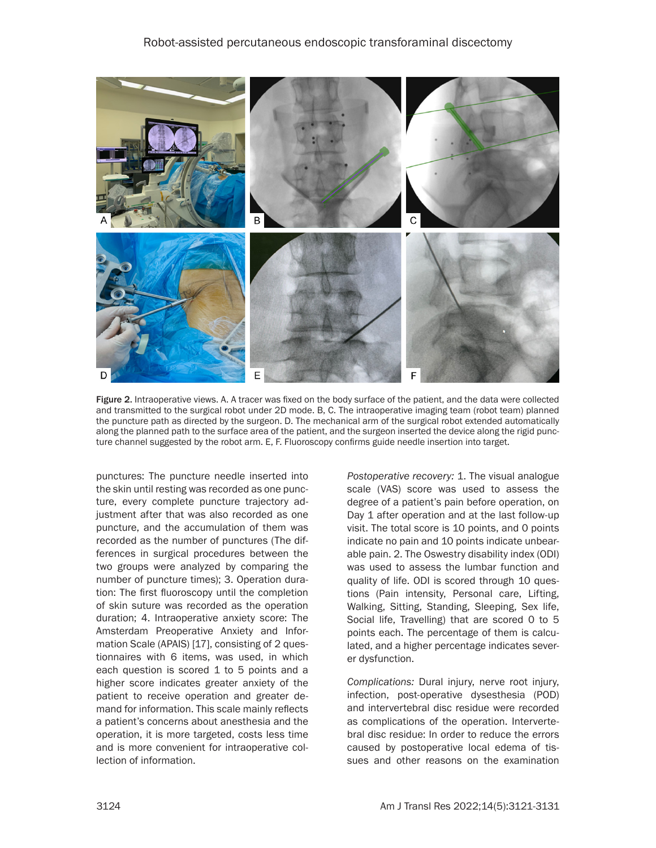

Figure 2. Intraoperative views. A. A tracer was fixed on the body surface of the patient, and the data were collected and transmitted to the surgical robot under 2D mode. B, C. The intraoperative imaging team (robot team) planned the puncture path as directed by the surgeon. D. The mechanical arm of the surgical robot extended automatically along the planned path to the surface area of the patient, and the surgeon inserted the device along the rigid puncture channel suggested by the robot arm. E, F. Fluoroscopy confirms guide needle insertion into target.

punctures: The puncture needle inserted into the skin until resting was recorded as one puncture, every complete puncture trajectory adjustment after that was also recorded as one puncture, and the accumulation of them was recorded as the number of punctures (The differences in surgical procedures between the two groups were analyzed by comparing the number of puncture times); 3. Operation duration: The first fluoroscopy until the completion of skin suture was recorded as the operation duration; 4. Intraoperative anxiety score: The Amsterdam Preoperative Anxiety and Information Scale (APAIS) [17], consisting of 2 questionnaires with 6 items, was used, in which each question is scored 1 to 5 points and a higher score indicates greater anxiety of the patient to receive operation and greater demand for information. This scale mainly reflects a patient's concerns about anesthesia and the operation, it is more targeted, costs less time and is more convenient for intraoperative collection of information.

*Postoperative recovery:* 1. The visual analogue scale (VAS) score was used to assess the degree of a patient's pain before operation, on Day 1 after operation and at the last follow-up visit. The total score is 10 points, and 0 points indicate no pain and 10 points indicate unbearable pain. 2. The Oswestry disability index (ODI) was used to assess the lumbar function and quality of life. ODI is scored through 10 questions (Pain intensity, Personal care, Lifting, Walking, Sitting, Standing, Sleeping, Sex life, Social life, Travelling) that are scored 0 to 5 points each. The percentage of them is calculated, and a higher percentage indicates severer dysfunction.

*Complications:* Dural injury, nerve root injury, infection, post-operative dysesthesia (POD) and intervertebral disc residue were recorded as complications of the operation. Intervertebral disc residue: In order to reduce the errors caused by postoperative local edema of tissues and other reasons on the examination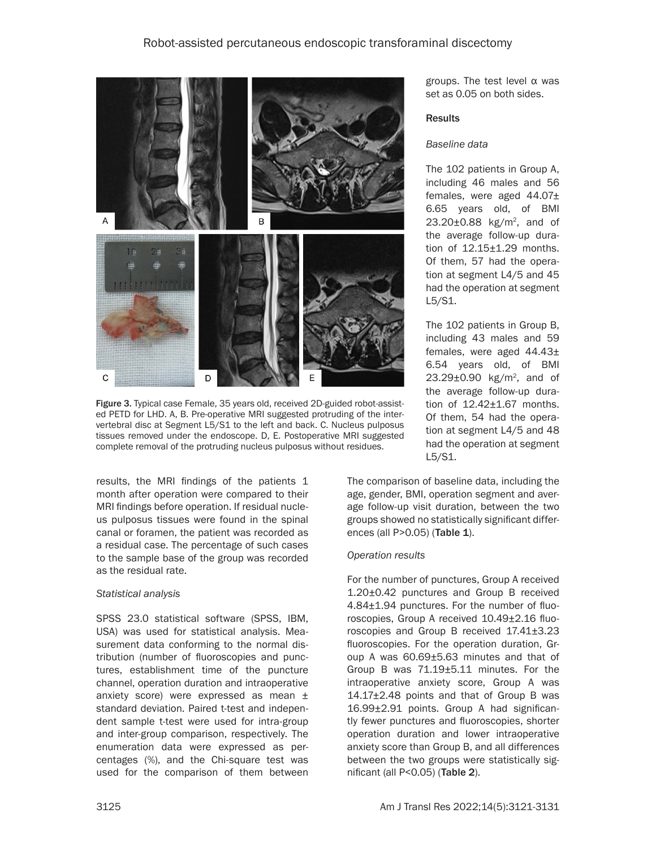

Figure 3. Typical case Female, 35 years old, received 2D-guided robot-assisted PETD for LHD. A, B. Pre-operative MRI suggested protruding of the intervertebral disc at Segment L5/S1 to the left and back. C. Nucleus pulposus tissues removed under the endoscope. D, E. Postoperative MRI suggested complete removal of the protruding nucleus pulposus without residues.

results, the MRI findings of the patients 1 month after operation were compared to their MRI findings before operation. If residual nucleus pulposus tissues were found in the spinal canal or foramen, the patient was recorded as a residual case. The percentage of such cases to the sample base of the group was recorded as the residual rate.

## *Statistical analysis*

SPSS 23.0 statistical software (SPSS, IBM, USA) was used for statistical analysis. Measurement data conforming to the normal distribution (number of fluoroscopies and punctures, establishment time of the puncture channel, operation duration and intraoperative anxiety score) were expressed as mean ± standard deviation. Paired t-test and independent sample t-test were used for intra-group and inter-group comparison, respectively. The enumeration data were expressed as percentages (%), and the Chi-square test was used for the comparison of them between

groups. The test level α was set as 0.05 on both sides.

#### **Results**

#### *Baseline data*

The 102 patients in Group A, including 46 males and 56 females, were aged 44.07± 6.65 years old, of BMI  $23.20 \pm 0.88$  kg/m<sup>2</sup>, and of the average follow-up duration of 12.15±1.29 months. Of them, 57 had the operation at segment L4/5 and 45 had the operation at segment L5/S1.

The 102 patients in Group B, including 43 males and 59 females, were aged 44.43± 6.54 years old, of BMI 23.29±0.90 kg/m<sup>2</sup>, and of the average follow-up duration of 12.42±1.67 months. Of them, 54 had the operation at segment L4/5 and 48 had the operation at segment L5/S1.

The comparison of baseline data, including the age, gender, BMI, operation segment and average follow-up visit duration, between the two groups showed no statistically significant differences (all P>0.05) (Table 1).

## *Operation results*

For the number of punctures, Group A received 1.20±0.42 punctures and Group B received 4.84±1.94 punctures. For the number of fluoroscopies, Group A received 10.49±2.16 fluoroscopies and Group B received 17.41±3.23 fluoroscopies. For the operation duration, Group A was 60.69±5.63 minutes and that of Group B was 71.19±5.11 minutes. For the intraoperative anxiety score, Group A was 14.17±2.48 points and that of Group B was 16.99±2.91 points. Group A had significantly fewer punctures and fluoroscopies, shorter operation duration and lower intraoperative anxiety score than Group B, and all differences between the two groups were statistically significant (all P<0.05) (Table 2).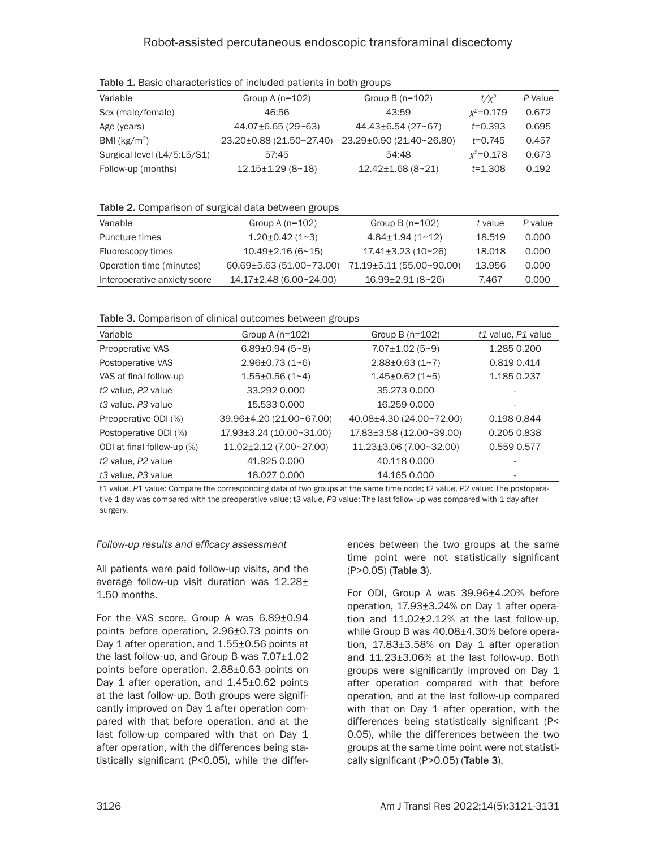| Variable                    | Group A $(n=102)$        | Group B $(n=102)$        | $t/x^2$       | P Value |  |  |
|-----------------------------|--------------------------|--------------------------|---------------|---------|--|--|
| Sex (male/female)           | 46:56                    | 43:59                    | $x^2 = 0.179$ | 0.672   |  |  |
| Age (years)                 | $44.07\pm6.65(29\sim63)$ | $44.43\pm 6.54$ (27~67)  | $t = 0.393$   | 0.695   |  |  |
| BMI ( $kg/m2$ )             | 23.20±0.88 (21.50~27.40) | 23.29±0.90 (21.40~26.80) | $t = 0.745$   | 0.457   |  |  |
| Surgical level (L4/5:L5/S1) | 57:45                    | 54:48                    | $x^2 = 0.178$ | 0.673   |  |  |
| Follow-up (months)          | $12.15 \pm 1.29$ (8~18)  | $12.42 \pm 1.68$ (8~21)  | $t = 1.308$   | 0.192   |  |  |

Table 1. Basic characteristics of included patients in both groups

## Table 2. Comparison of surgical data between groups

| Variable                     | Group A $(n=102)$        | Group B $(n=102)$        | t value | P value |
|------------------------------|--------------------------|--------------------------|---------|---------|
| Puncture times               | $1.20 \pm 0.42$ (1~3)    | $4.84 \pm 1.94$ (1~12)   | 18.519  | 0.000   |
| Fluoroscopy times            | $10.49\pm2.16(6~15)$     | $17.41 \pm 3.23$ (10~26) | 18.018  | 0.000   |
| Operation time (minutes)     | 60.69±5.63 (51.00~73.00) | 71.19±5.11 (55.00~90.00) | 13.956  | 0.000   |
| Interoperative anxiety score | 14.17±2.48 (6.00~24.00)  | $16.99 \pm 2.91$ (8~26)  | 7.467   | 0.000   |
|                              |                          |                          |         |         |

Table 3. Comparison of clinical outcomes between groups

| Variable                                   | Group A $(n=102)$        | Group B $(n=102)$            | t1 value, P1 value |
|--------------------------------------------|--------------------------|------------------------------|--------------------|
| <b>Preoperative VAS</b>                    | $6.89 \pm 0.94$ (5~8)    | $7.07 \pm 1.02$ (5~9)        | 1.285 0.200        |
| Postoperative VAS                          | $2.96 \pm 0.73$ (1~6)    | $2.88\pm0.63(1-7)$           | 0.819 0.414        |
| VAS at final follow-up                     | $1.55 \pm 0.56$ (1~4)    | $1.45 \pm 0.62$ (1~5)        | 1.185 0.237        |
| t2 value, P2 value                         | 33.292 0.000             | 35,2730,000                  |                    |
| t3 value, P3 value                         | 15.533 0.000             | 16.259 0.000                 |                    |
| Preoperative ODI (%)                       | 39.96±4.20 (21.00~67.00) | 40.08±4.30 (24.00~72.00)     | 0.198 0.844        |
| Postoperative ODI (%)                      | 17.93±3.24 (10.00~31.00) | $17.83\pm3.58$ (12.00~39.00) | 0.205 0.838        |
| ODI at final follow-up (%)                 | 11.02±2.12 (7.00~27.00)  | 11.23±3.06 (7.00~32.00)      | 0.559 0.577        |
| t <sub>2</sub> value, P <sub>2</sub> value | 41.925 0.000             | 40.118 0.000                 |                    |
| t3 value, P3 value                         | 18.027 0.000             | 14.165 0.000                 |                    |

t1 value, *P*1 value: Compare the corresponding data of two groups at the same time node; t2 value, *P*2 value: The postoperative 1 day was compared with the preoperative value; t3 value, *P*3 value: The last follow-up was compared with 1 day after surgery.

# *Follow-up results and efficacy assessment*

All patients were paid follow-up visits, and the average follow-up visit duration was 12.28± 1.50 months.

For the VAS score, Group A was 6.89±0.94 points before operation, 2.96±0.73 points on Day 1 after operation, and 1.55±0.56 points at the last follow-up, and Group B was  $7.07\pm1.02$ points before operation, 2.88±0.63 points on Day 1 after operation, and 1.45±0.62 points at the last follow-up. Both groups were significantly improved on Day 1 after operation compared with that before operation, and at the last follow-up compared with that on Day 1 after operation, with the differences being statistically significant (P<0.05), while the differences between the two groups at the same time point were not statistically significant (P>0.05) (Table 3).

For ODI, Group A was 39.96±4.20% before operation, 17.93±3.24% on Day 1 after operation and 11.02±2.12% at the last follow-up, while Group B was 40.08±4.30% before operation,  $17.83\pm3.58\%$  on Day 1 after operation and 11.23±3.06% at the last follow-up. Both groups were significantly improved on Day 1 after operation compared with that before operation, and at the last follow-up compared with that on Day 1 after operation, with the differences being statistically significant (P< 0.05), while the differences between the two groups at the same time point were not statistically significant (P>0.05) (Table 3).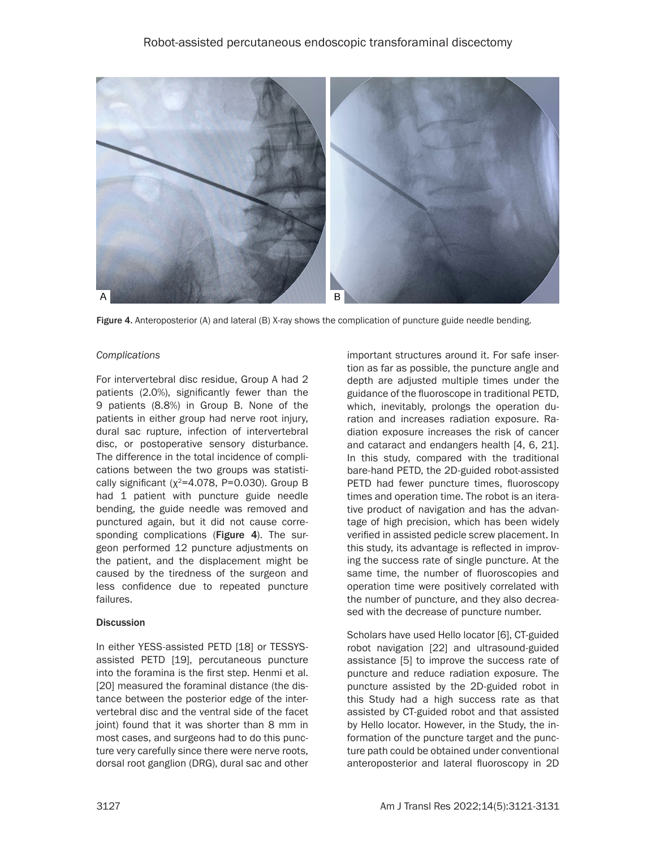

Figure 4. Anteroposterior (A) and lateral (B) X-ray shows the complication of puncture guide needle bending.

#### *Complications*

For intervertebral disc residue, Group A had 2 patients (2.0%), significantly fewer than the 9 patients (8.8%) in Group B. None of the patients in either group had nerve root injury, dural sac rupture, infection of intervertebral disc, or postoperative sensory disturbance. The difference in the total incidence of complications between the two groups was statistically significant ( $\chi^2$ =4.078, P=0.030). Group B had 1 patient with puncture guide needle bending, the guide needle was removed and punctured again, but it did not cause corresponding complications (Figure 4). The surgeon performed 12 puncture adjustments on the patient, and the displacement might be caused by the tiredness of the surgeon and less confidence due to repeated puncture failures.

#### **Discussion**

In either YESS-assisted PETD [18] or TESSYSassisted PETD [19], percutaneous puncture into the foramina is the first step. Henmi et al. [20] measured the foraminal distance (the distance between the posterior edge of the intervertebral disc and the ventral side of the facet joint) found that it was shorter than 8 mm in most cases, and surgeons had to do this puncture very carefully since there were nerve roots, dorsal root ganglion (DRG), dural sac and other

important structures around it. For safe insertion as far as possible, the puncture angle and depth are adjusted multiple times under the guidance of the fluoroscope in traditional PETD, which, inevitably, prolongs the operation duration and increases radiation exposure. Radiation exposure increases the risk of cancer and cataract and endangers health [4, 6, 21]. In this study, compared with the traditional bare-hand PETD, the 2D-guided robot-assisted PETD had fewer puncture times, fluoroscopy times and operation time. The robot is an iterative product of navigation and has the advantage of high precision, which has been widely verified in assisted pedicle screw placement. In this study, its advantage is reflected in improving the success rate of single puncture. At the same time, the number of fluoroscopies and operation time were positively correlated with the number of puncture, and they also decreased with the decrease of puncture number.

Scholars have used Hello locator [6], CT-guided robot navigation [22] and ultrasound-guided assistance [5] to improve the success rate of puncture and reduce radiation exposure. The puncture assisted by the 2D-guided robot in this Study had a high success rate as that assisted by CT-guided robot and that assisted by Hello locator. However, in the Study, the information of the puncture target and the puncture path could be obtained under conventional anteroposterior and lateral fluoroscopy in 2D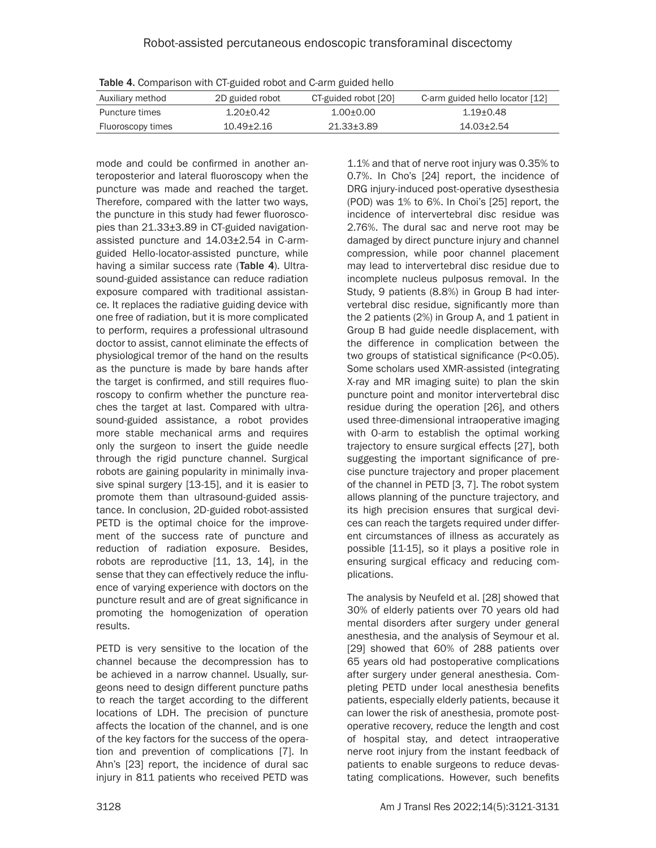| <u>reness is equipersolutions at Animon solonion e dissi Adiobalitation</u> |                 |                      |                                 |  |  |
|-----------------------------------------------------------------------------|-----------------|----------------------|---------------------------------|--|--|
| Auxiliary method                                                            | 2D guided robot | CT-guided robot [20] | C-arm guided hello locator [12] |  |  |
| Puncture times                                                              | $1.20 + 0.42$   | $1.00 + 0.00$        | 1.19+0.48                       |  |  |
| Fluoroscopy times                                                           | $10.49 + 2.16$  | 21.33+3.89           | 14.03+2.54                      |  |  |

Table 4. Comparison with CT-guided robot and C-arm guided hello

mode and could be confirmed in another anteroposterior and lateral fluoroscopy when the puncture was made and reached the target. Therefore, compared with the latter two ways, the puncture in this study had fewer fluoroscopies than 21.33±3.89 in CT-guided navigationassisted puncture and 14.03±2.54 in C-armguided Hello-locator-assisted puncture, while having a similar success rate (Table 4). Ultrasound-guided assistance can reduce radiation exposure compared with traditional assistance. It replaces the radiative guiding device with one free of radiation, but it is more complicated to perform, requires a professional ultrasound doctor to assist, cannot eliminate the effects of physiological tremor of the hand on the results as the puncture is made by bare hands after the target is confirmed, and still requires fluoroscopy to confirm whether the puncture reaches the target at last. Compared with ultrasound-guided assistance, a robot provides more stable mechanical arms and requires only the surgeon to insert the guide needle through the rigid puncture channel. Surgical robots are gaining popularity in minimally invasive spinal surgery [13-15], and it is easier to promote them than ultrasound-guided assistance. In conclusion, 2D-guided robot-assisted PETD is the optimal choice for the improvement of the success rate of puncture and reduction of radiation exposure. Besides, robots are reproductive [11, 13, 14], in the sense that they can effectively reduce the influence of varying experience with doctors on the puncture result and are of great significance in promoting the homogenization of operation results.

PETD is very sensitive to the location of the channel because the decompression has to be achieved in a narrow channel. Usually, surgeons need to design different puncture paths to reach the target according to the different locations of LDH. The precision of puncture affects the location of the channel, and is one of the key factors for the success of the operation and prevention of complications [7]. In Ahn's [23] report, the incidence of dural sac injury in 811 patients who received PETD was

1.1% and that of nerve root injury was 0.35% to 0.7%. In Cho's [24] report, the incidence of DRG injury-induced post-operative dysesthesia (POD) was 1% to 6%. In Choi's [25] report, the incidence of intervertebral disc residue was 2.76%. The dural sac and nerve root may be damaged by direct puncture injury and channel compression, while poor channel placement may lead to intervertebral disc residue due to incomplete nucleus pulposus removal. In the Study, 9 patients (8.8%) in Group B had intervertebral disc residue, significantly more than the 2 patients (2%) in Group A, and 1 patient in Group B had guide needle displacement, with the difference in complication between the two groups of statistical significance (P<0.05). Some scholars used XMR-assisted (integrating X-ray and MR imaging suite) to plan the skin puncture point and monitor intervertebral disc residue during the operation [26], and others used three-dimensional intraoperative imaging with O-arm to establish the optimal working trajectory to ensure surgical effects [27], both suggesting the important significance of precise puncture trajectory and proper placement of the channel in PETD [3, 7]. The robot system allows planning of the puncture trajectory, and its high precision ensures that surgical devices can reach the targets required under different circumstances of illness as accurately as possible [11-15], so it plays a positive role in ensuring surgical efficacy and reducing complications.

The analysis by Neufeld et al. [28] showed that 30% of elderly patients over 70 years old had mental disorders after surgery under general anesthesia, and the analysis of Seymour et al. [29] showed that 60% of 288 patients over 65 years old had postoperative complications after surgery under general anesthesia. Completing PETD under local anesthesia benefits patients, especially elderly patients, because it can lower the risk of anesthesia, promote postoperative recovery, reduce the length and cost of hospital stay, and detect intraoperative nerve root injury from the instant feedback of patients to enable surgeons to reduce devastating complications. However, such benefits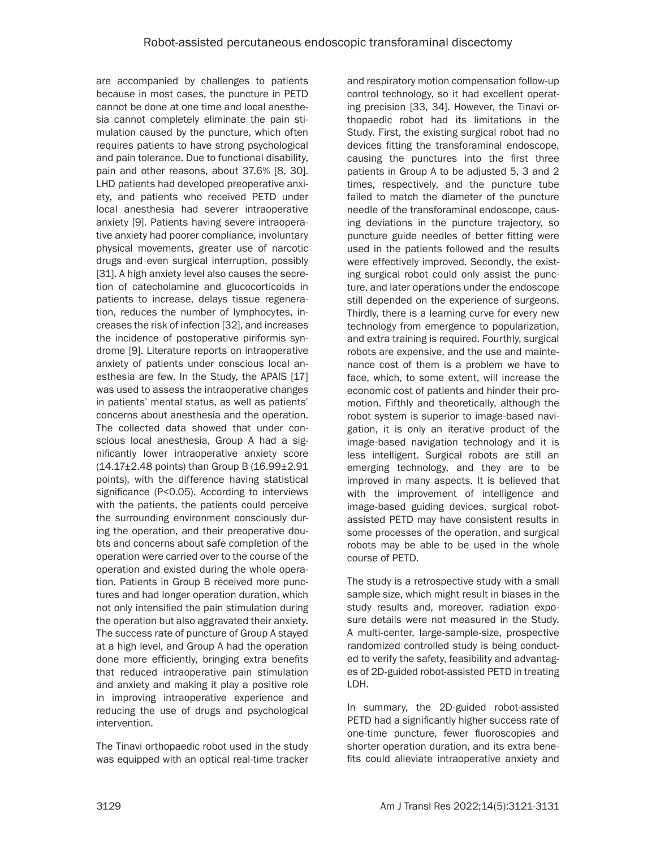are accompanied by challenges to patients because in most cases, the puncture in PETD cannot be done at one time and local anesthesia cannot completely eliminate the pain stimulation caused by the puncture, which often requires patients to have strong psychological and pain tolerance. Due to functional disability, pain and other reasons, about 37.6% [8, 30]. LHD patients had developed preoperative anxiety, and patients who received PETD under local anesthesia had severer intraoperative anxiety [9]. Patients having severe intraoperative anxiety had poorer compliance, involuntary physical movements, greater use of narcotic drugs and even surgical interruption, possibly [31]. A high anxiety level also causes the secretion of catecholamine and glucocorticoids in patients to increase, delays tissue regeneration, reduces the number of lymphocytes, increases the risk of infection [32], and increases the incidence of postoperative piriformis syndrome [9]. Literature reports on intraoperative anxiety of patients under conscious local anesthesia are few. In the Study, the APAIS [17] was used to assess the intraoperative changes in patients' mental status, as well as patients' concerns about anesthesia and the operation. The collected data showed that under conscious local anesthesia, Group A had a significantly lower intraoperative anxiety score  $(14.17\pm2.48$  points) than Group B  $(16.99\pm2.91)$ points), with the difference having statistical significance (P<0.05). According to interviews with the patients, the patients could perceive the surrounding environment consciously during the operation, and their preoperative doubts and concerns about safe completion of the operation were carried over to the course of the operation and existed during the whole operation. Patients in Group B received more punctures and had longer operation duration, which not only intensified the pain stimulation during the operation but also aggravated their anxiety. The success rate of puncture of Group A stayed at a high level, and Group A had the operation done more efficiently, bringing extra benefits that reduced intraoperative pain stimulation and anxiety and making it play a positive role in improving intraoperative experience and reducing the use of drugs and psychological intervention.

The Tinavi orthopaedic robot used in the study was equipped with an optical real-time tracker

and respiratory motion compensation follow-up control technology, so it had excellent operating precision [33, 34]. However, the Tinavi orthopaedic robot had its limitations in the Study. First, the existing surgical robot had no devices fitting the transforaminal endoscope, causing the punctures into the first three patients in Group A to be adjusted 5, 3 and 2 times, respectively, and the puncture tube failed to match the diameter of the puncture needle of the transforaminal endoscope, causing deviations in the puncture trajectory, so puncture guide needles of better fitting were used in the patients followed and the results were effectively improved. Secondly, the existing surgical robot could only assist the puncture, and later operations under the endoscope still depended on the experience of surgeons. Thirdly, there is a learning curve for every new technology from emergence to popularization, and extra training is required. Fourthly, surgical robots are expensive, and the use and maintenance cost of them is a problem we have to face, which, to some extent, will increase the economic cost of patients and hinder their promotion. Fifthly and theoretically, although the robot system is superior to image-based navigation, it is only an iterative product of the image-based navigation technology and it is less intelligent. Surgical robots are still an emerging technology, and they are to be improved in many aspects. It is believed that with the improvement of intelligence and image-based guiding devices, surgical robotassisted PETD may have consistent results in some processes of the operation, and surgical robots may be able to be used in the whole course of PETD.

The study is a retrospective study with a small sample size, which might result in biases in the study results and, moreover, radiation exposure details were not measured in the Study. A multi-center, large-sample-size, prospective randomized controlled study is being conducted to verify the safety, feasibility and advantages of 2D-guided robot-assisted PETD in treating LDH.

In summary, the 2D-guided robot-assisted PETD had a significantly higher success rate of one-time puncture, fewer fluoroscopies and shorter operation duration, and its extra benefits could alleviate intraoperative anxiety and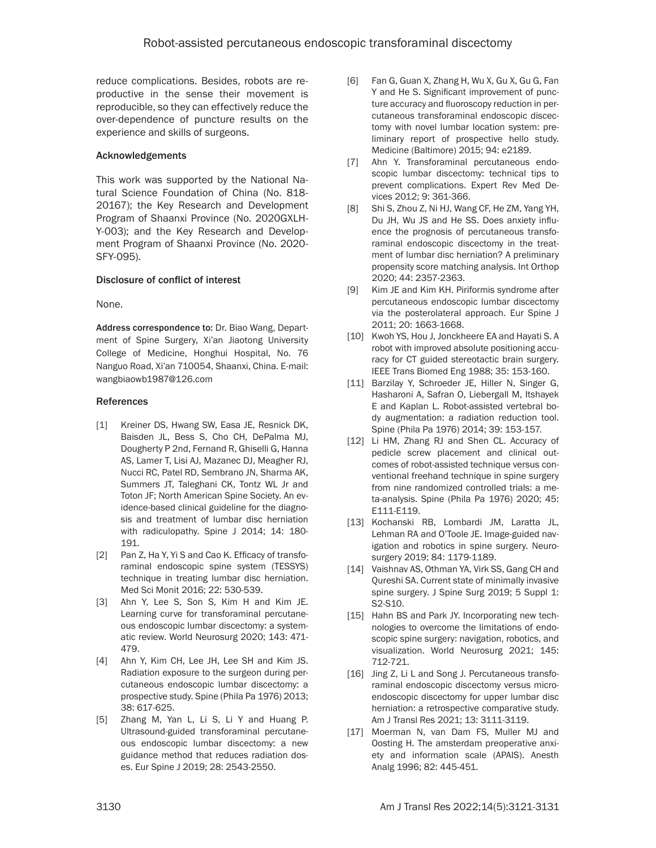reduce complications. Besides, robots are reproductive in the sense their movement is reproducible, so they can effectively reduce the over-dependence of puncture results on the experience and skills of surgeons.

## Acknowledgements

This work was supported by the National Natural Science Foundation of China (No. 818- 20167); the Key Research and Development Program of Shaanxi Province (No. 2020GXLH-Y-003); and the Key Research and Development Program of Shaanxi Province (No. 2020- SFY-095).

## Disclosure of conflict of interest

None.

Address correspondence to: Dr. Biao Wang, Department of Spine Surgery, Xi'an Jiaotong University College of Medicine, Honghui Hospital, No. 76 Nanguo Road, Xi'an 710054, Shaanxi, China. E-mail: [wangbiaowb1987@126.com](mailto:wangbiaowb1987@126.com)

## References

- [1] Kreiner DS, Hwang SW, Easa JE, Resnick DK, Baisden JL, Bess S, Cho CH, DePalma MJ, Dougherty P 2nd, Fernand R, Ghiselli G, Hanna AS, Lamer T, Lisi AJ, Mazanec DJ, Meagher RJ, Nucci RC, Patel RD, Sembrano JN, Sharma AK, Summers JT, Taleghani CK, Tontz WL Jr and Toton JF; North American Spine Society. An evidence-based clinical guideline for the diagnosis and treatment of lumbar disc herniation with radiculopathy. Spine J 2014; 14: 180- 191.
- [2] Pan Z, Ha Y, Yi S and Cao K. Efficacy of transforaminal endoscopic spine system (TESSYS) technique in treating lumbar disc herniation. Med Sci Monit 2016; 22: 530-539.
- [3] Ahn Y, Lee S, Son S, Kim H and Kim JE. Learning curve for transforaminal percutaneous endoscopic lumbar discectomy: a systematic review. World Neurosurg 2020; 143: 471- 479.
- [4] Ahn Y, Kim CH, Lee JH, Lee SH and Kim JS. Radiation exposure to the surgeon during percutaneous endoscopic lumbar discectomy: a prospective study. Spine (Phila Pa 1976) 2013; 38: 617-625.
- [5] Zhang M, Yan L, Li S, Li Y and Huang P. Ultrasound-guided transforaminal percutaneous endoscopic lumbar discectomy: a new guidance method that reduces radiation doses. Eur Spine J 2019; 28: 2543-2550.
- [6] Fan G, Guan X, Zhang H, Wu X, Gu X, Gu G, Fan Y and He S. Significant improvement of puncture accuracy and fluoroscopy reduction in percutaneous transforaminal endoscopic discectomy with novel lumbar location system: preliminary report of prospective hello study. Medicine (Baltimore) 2015; 94: e2189.
- [7] Ahn Y. Transforaminal percutaneous endoscopic lumbar discectomy: technical tips to prevent complications. Expert Rev Med Devices 2012; 9: 361-366.
- [8] Shi S, Zhou Z, Ni HJ, Wang CF, He ZM, Yang YH, Du JH, Wu JS and He SS. Does anxiety influence the prognosis of percutaneous transforaminal endoscopic discectomy in the treatment of lumbar disc herniation? A preliminary propensity score matching analysis. Int Orthop 2020; 44: 2357-2363.
- [9] Kim JE and Kim KH. Piriformis syndrome after percutaneous endoscopic lumbar discectomy via the posterolateral approach. Eur Spine J 2011; 20: 1663-1668.
- [10] Kwoh YS, Hou J, Jonckheere EA and Hayati S. A robot with improved absolute positioning accuracy for CT guided stereotactic brain surgery. IEEE Trans Biomed Eng 1988; 35: 153-160.
- [11] Barzilay Y, Schroeder JE, Hiller N, Singer G, Hasharoni A, Safran O, Liebergall M, Itshayek E and Kaplan L. Robot-assisted vertebral body augmentation: a radiation reduction tool. Spine (Phila Pa 1976) 2014; 39: 153-157.
- [12] Li HM, Zhang RJ and Shen CL. Accuracy of pedicle screw placement and clinical outcomes of robot-assisted technique versus conventional freehand technique in spine surgery from nine randomized controlled trials: a meta-analysis. Spine (Phila Pa 1976) 2020; 45: E111-E119.
- [13] Kochanski RB, Lombardi JM, Laratta JL, Lehman RA and O'Toole JE. Image-guided navigation and robotics in spine surgery. Neurosurgery 2019; 84: 1179-1189.
- [14] Vaishnav AS, Othman YA, Virk SS, Gang CH and Qureshi SA. Current state of minimally invasive spine surgery. J Spine Surg 2019; 5 Suppl 1: S2-S10.
- [15] Hahn BS and Park JY. Incorporating new technologies to overcome the limitations of endoscopic spine surgery: navigation, robotics, and visualization. World Neurosurg 2021; 145: 712-721.
- [16] Jing Z, Li L and Song J. Percutaneous transforaminal endoscopic discectomy versus microendoscopic discectomy for upper lumbar disc herniation: a retrospective comparative study. Am J Transl Res 2021; 13: 3111-3119.
- [17] Moerman N, van Dam FS, Muller MJ and Oosting H. The amsterdam preoperative anxiety and information scale (APAIS). Anesth Analg 1996; 82: 445-451.